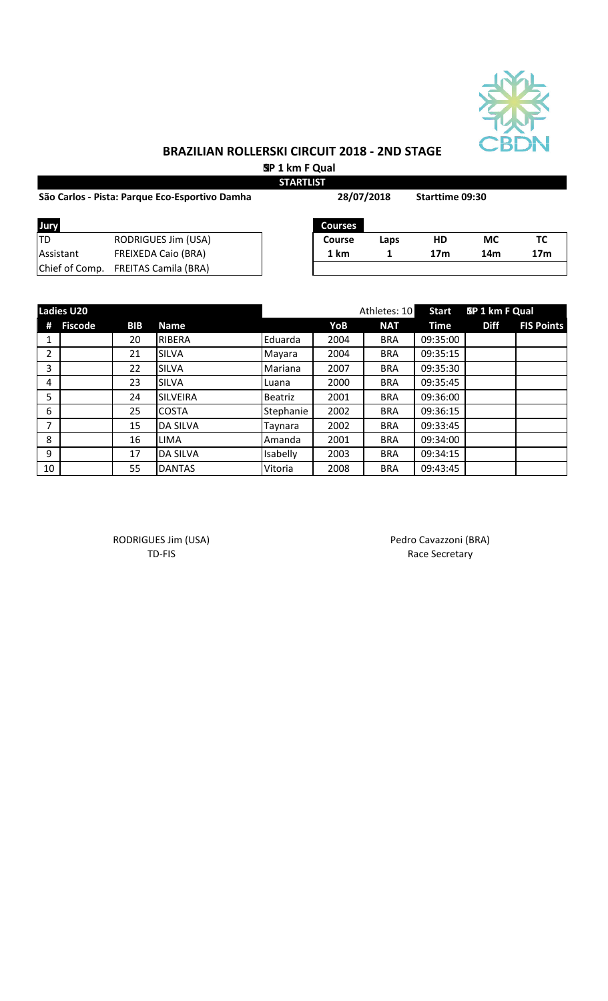

# **BRAZILIAN ROLLERSKI CIRCUIT 2018 - 2ND STAGE SP 1 km F Qual**

**STARTLIST**

| São Carlos - Pista: Parque Eco-Esportivo Damha | 28/07/2018                  |               | <b>Starttime 09:30</b> |                 |           |                 |
|------------------------------------------------|-----------------------------|---------------|------------------------|-----------------|-----------|-----------------|
| Jury                                           |                             | Courses       |                        |                 |           |                 |
| 'TD                                            | RODRIGUES Jim (USA)         | <b>Course</b> | Laps                   | HD              | <b>MC</b> | ТC              |
| Assistant                                      | <b>FREIXEDA Caio (BRA)</b>  | 1 km          |                        | 17 <sub>m</sub> | 14m       | 17 <sub>m</sub> |
| Chief of Comp.                                 | <b>FREITAS Camila (BRA)</b> |               |                        |                 |           |                 |

|                | <b>Ladies U20</b> |            |                 |                |      | Athletes: 10 | <b>Start</b> | SP 1 km F Qual |                   |
|----------------|-------------------|------------|-----------------|----------------|------|--------------|--------------|----------------|-------------------|
| #              | <b>Fiscode</b>    | <b>BIB</b> | <b>Name</b>     |                | YoB  | <b>NAT</b>   | <b>Time</b>  | <b>Diff</b>    | <b>FIS Points</b> |
| 1              |                   | 20         | <b>RIBERA</b>   | Eduarda        | 2004 | <b>BRA</b>   | 09:35:00     |                |                   |
| $\overline{2}$ |                   | 21         | <b>SILVA</b>    | Mayara         | 2004 | <b>BRA</b>   | 09:35:15     |                |                   |
| 3              |                   | 22         | <b>SILVA</b>    | Mariana        | 2007 | <b>BRA</b>   | 09:35:30     |                |                   |
| 4              |                   | 23         | <b>SILVA</b>    | Luana          | 2000 | <b>BRA</b>   | 09:35:45     |                |                   |
| 5              |                   | 24         | <b>SILVEIRA</b> | <b>Beatriz</b> | 2001 | <b>BRA</b>   | 09:36:00     |                |                   |
| 6              |                   | 25         | <b>COSTA</b>    | Stephanie      | 2002 | <b>BRA</b>   | 09:36:15     |                |                   |
| $\overline{7}$ |                   | 15         | <b>DA SILVA</b> | Taynara        | 2002 | <b>BRA</b>   | 09:33:45     |                |                   |
| 8              |                   | 16         | <b>LIMA</b>     | Amanda         | 2001 | <b>BRA</b>   | 09:34:00     |                |                   |
| 9              |                   | 17         | <b>DA SILVA</b> | Isabelly       | 2003 | <b>BRA</b>   | 09:34:15     |                |                   |
| 10             |                   | 55         | <b>DANTAS</b>   | Vitoria        | 2008 | <b>BRA</b>   | 09:43:45     |                |                   |

RODRIGUES Jim (USA) Pedro Cavazzoni (BRA)

TD-FIS Race Secretary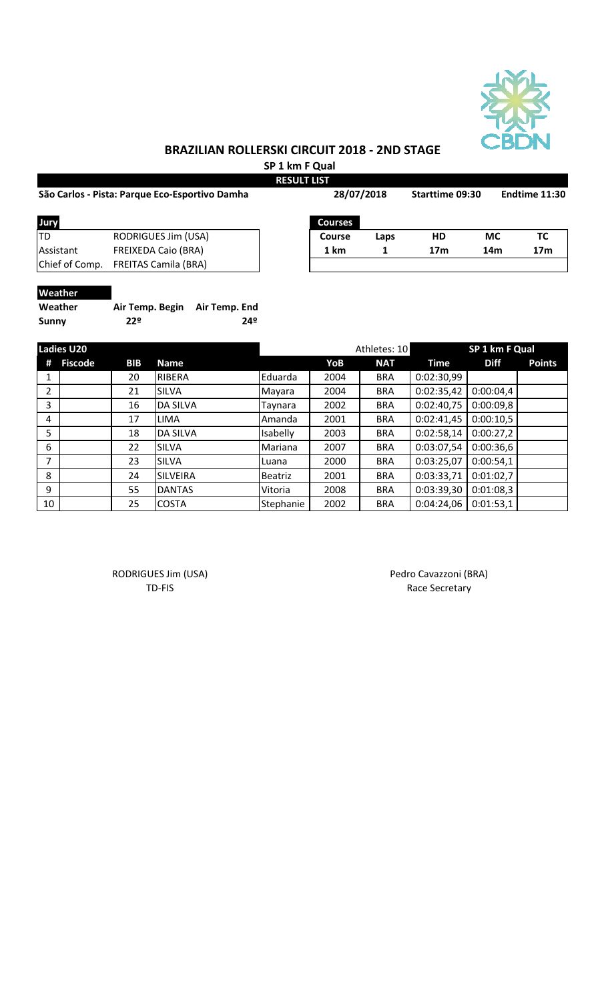

**SP 1 km F Qual RESULT LIST**

|           | São Carlos - Pista: Parque Eco-Esportivo Damha |                | 28/07/2018 |                 | <b>Starttime 09:30</b> | Endtime 11:30 |  |
|-----------|------------------------------------------------|----------------|------------|-----------------|------------------------|---------------|--|
| Jury      |                                                | <b>Courses</b> |            |                 |                        |               |  |
| TD        | RODRIGUES Jim (USA)                            | <b>Course</b>  | Laps       | НD              | МC                     | тс            |  |
| Assistant | <b>FREIXEDA Caio (BRA)</b>                     | 1 km           |            | 17 <sub>m</sub> | 14m                    | 17m           |  |

 $\overline{\phantom{a}}$ 

| <b>Courses</b> |      |                 |     |                 |
|----------------|------|-----------------|-----|-----------------|
| Course         | Laps | HD              | МC  | ТC              |
| 1 km           |      | 17 <sub>m</sub> | 14m | 17 <sub>m</sub> |
|                |      |                 |     |                 |

#### **Weather**

| Weather      | Air Temp. Begin Air Temp. End |     |
|--------------|-------------------------------|-----|
| <b>Sunny</b> | 22º                           | 24º |

Chief of Comp. FREITAS Camila (BRA)

|    | <b>Ladies U20</b> |     |                 |                |      | Athletes: 10 |            | SP 1 km F Qual |               |
|----|-------------------|-----|-----------------|----------------|------|--------------|------------|----------------|---------------|
| Ħ  | <b>Fiscode</b>    | BIB | <b>Name</b>     |                | YoB  | <b>NAT</b>   | Time       | <b>Diff</b>    | <b>Points</b> |
|    |                   | 20  | <b>RIBERA</b>   | Eduarda        | 2004 | <b>BRA</b>   | 0:02:30,99 |                |               |
| 2  |                   | 21  | <b>SILVA</b>    | Mayara         | 2004 | <b>BRA</b>   | 0:02:35,42 | 0:00:04,4      |               |
| 3  |                   | 16  | <b>DA SILVA</b> | Taynara        | 2002 | <b>BRA</b>   | 0:02:40,75 | 0:00:09,8      |               |
| 4  |                   | 17  | <b>LIMA</b>     | Amanda         | 2001 | <b>BRA</b>   | 0:02:41,45 | 0:00:10,5      |               |
| 5  |                   | 18  | <b>DA SILVA</b> | Isabelly       | 2003 | <b>BRA</b>   | 0:02:58,14 | 0:00:27,2      |               |
| 6  |                   | 22  | <b>SILVA</b>    | Mariana        | 2007 | <b>BRA</b>   | 0:03:07,54 | 0:00:36,6      |               |
| 7  |                   | 23  | <b>SILVA</b>    | Luana          | 2000 | <b>BRA</b>   | 0:03:25,07 | 0:00:54,1      |               |
| 8  |                   | 24  | <b>SILVEIRA</b> | <b>Beatriz</b> | 2001 | <b>BRA</b>   | 0:03:33,71 | 0:01:02,7      |               |
| 9  |                   | 55  | <b>DANTAS</b>   | Vitoria        | 2008 | <b>BRA</b>   | 0:03:39,30 | 0:01:08,3      |               |
| 10 |                   | 25  | <b>COSTA</b>    | Stephanie      | 2002 | <b>BRA</b>   | 0:04:24,06 | 0:01:53,1      |               |

RODRIGUES Jim (USA) Pedro Cavazzoni (BRA)

TD-FIS Race Secretary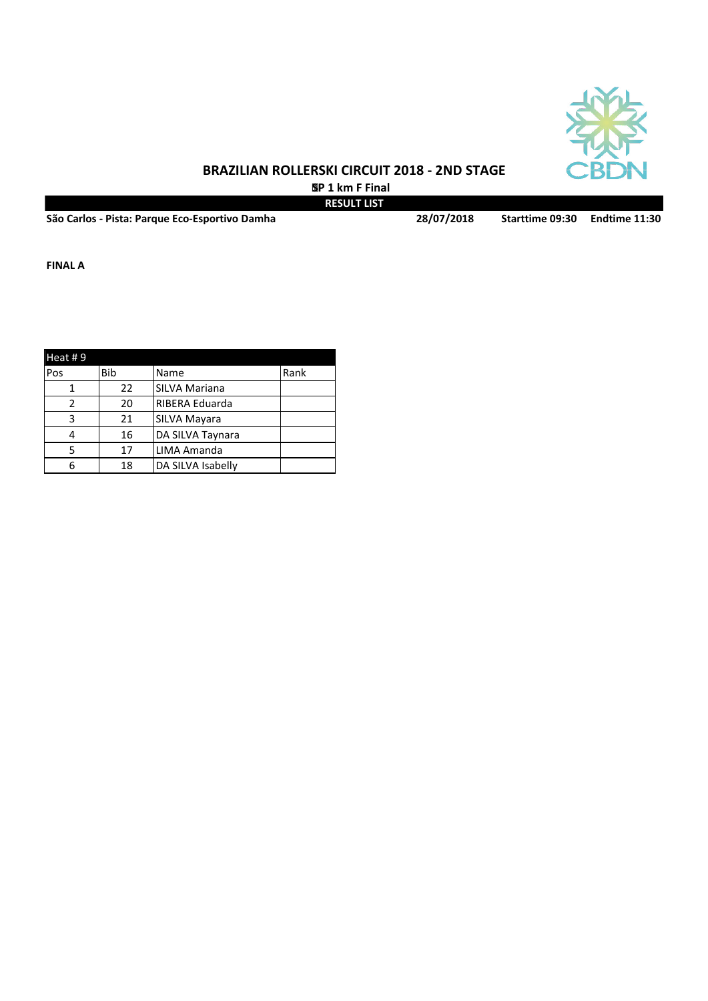

 **SP 1 km F Final RESULT LIST**

**São Carlos - Pista: Parque Eco-Esportivo Damha Starttime 09:30 Endtime 11:30 28/07/2018**

**FINAL A**

| Heat #9 |     |                      |      |  |  |  |  |
|---------|-----|----------------------|------|--|--|--|--|
| Pos     | Bib | Name                 | Rank |  |  |  |  |
|         | 22  | <b>SILVA Mariana</b> |      |  |  |  |  |
|         | 20  | RIBERA Eduarda       |      |  |  |  |  |
| κ       | 21  | <b>SILVA Mayara</b>  |      |  |  |  |  |
|         | 16  | DA SILVA Taynara     |      |  |  |  |  |
|         | 17  | LIMA Amanda          |      |  |  |  |  |
|         | 18  | DA SILVA Isabelly    |      |  |  |  |  |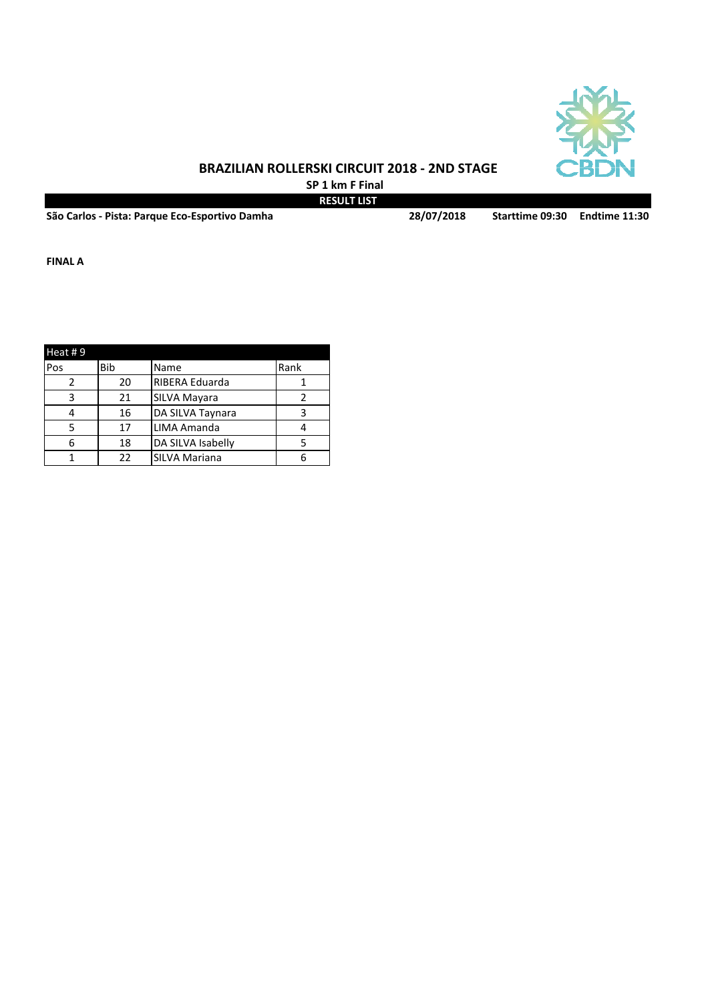

**SP 1 km F Final RESULT LIST**

**São Carlos - Pista: Parque Eco-Esportivo Damha Starttime 09:30 Endtime 11:30**

**28/07/2018**

**FINAL A**

| Heat #9    |     |                      |      |
|------------|-----|----------------------|------|
| <b>Pos</b> | Bib | Name                 | Rank |
|            | 20  | RIBERA Eduarda       |      |
| ς          | 21  | SILVA Mayara         |      |
|            | 16  | DA SILVA Taynara     |      |
|            | 17  | LIMA Amanda          |      |
|            | 18  | DA SILVA Isabelly    |      |
|            | 22  | <b>SILVA Mariana</b> |      |